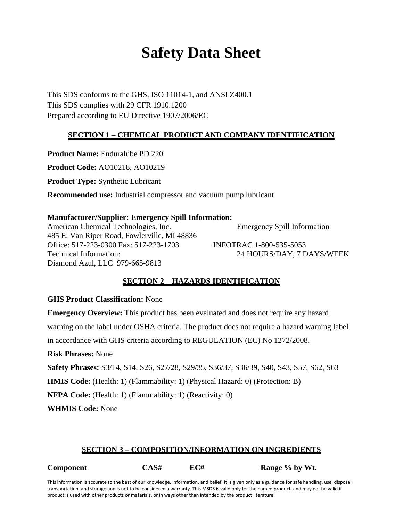# **Safety Data Sheet**

This SDS conforms to the GHS, ISO 11014-1, and ANSI Z400.1 This SDS complies with 29 CFR 1910.1200 Prepared according to EU Directive 1907/2006/EC

# **SECTION 1 – CHEMICAL PRODUCT AND COMPANY IDENTIFICATION**

**Product Name:** Enduralube PD 220

**Product Code:** AO10218, AO10219

**Product Type:** Synthetic Lubricant

**Recommended use:** Industrial compressor and vacuum pump lubricant

## **Manufacturer/Supplier: Emergency Spill Information:**

American Chemical Technologies, Inc. Emergency Spill Information 485 E. Van Riper Road, Fowlerville, MI 48836 Office: 517-223-0300 Fax: 517-223-1703 INFOTRAC 1-800-535-5053 Technical Information: 24 HOURS/DAY, 7 DAYS/WEEK Diamond Azul, LLC 979-665-9813

# **SECTION 2 – HAZARDS IDENTIFICATION**

## **GHS Product Classification:** None

**Emergency Overview:** This product has been evaluated and does not require any hazard warning on the label under OSHA criteria. The product does not require a hazard warning label in accordance with GHS criteria according to REGULATION (EC) No 1272/2008. **Risk Phrases:** None **Safety Phrases:** S3/14, S14, S26, S27/28, S29/35, S36/37, S36/39, S40, S43, S57, S62, S63 **HMIS Code:** (Health: 1) (Flammability: 1) (Physical Hazard: 0) (Protection: B)

**NFPA Code:** (Health: 1) (Flammability: 1) (Reactivity: 0)

**WHMIS Code:** None

# **SECTION 3 – COMPOSITION/INFORMATION ON INGREDIENTS**

| Component | CAS# | EC# | Range % by Wt. |
|-----------|------|-----|----------------|
|-----------|------|-----|----------------|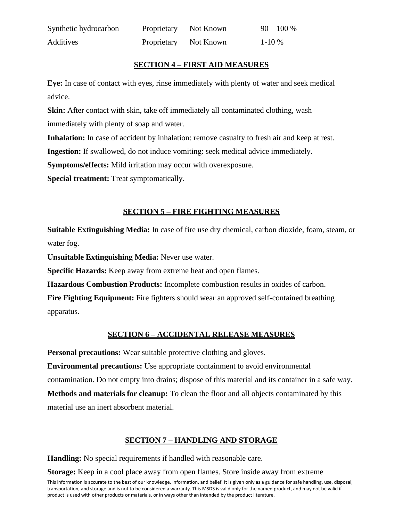| Synthetic hydrocarbon | Proprietary Not Known | $90 - 100 %$ |
|-----------------------|-----------------------|--------------|
| Additives             | Proprietary Not Known | $1-10\%$     |

# **SECTION 4 – FIRST AID MEASURES**

**Eye:** In case of contact with eyes, rinse immediately with plenty of water and seek medical advice.

**Skin:** After contact with skin, take off immediately all contaminated clothing, wash immediately with plenty of soap and water.

**Inhalation:** In case of accident by inhalation: remove casualty to fresh air and keep at rest.

**Ingestion:** If swallowed, do not induce vomiting: seek medical advice immediately.

**Symptoms/effects:** Mild irritation may occur with overexposure.

**Special treatment:** Treat symptomatically.

# **SECTION 5 – FIRE FIGHTING MEASURES**

**Suitable Extinguishing Media:** In case of fire use dry chemical, carbon dioxide, foam, steam, or water fog.

**Unsuitable Extinguishing Media:** Never use water.

**Specific Hazards:** Keep away from extreme heat and open flames.

**Hazardous Combustion Products:** Incomplete combustion results in oxides of carbon.

**Fire Fighting Equipment:** Fire fighters should wear an approved self-contained breathing apparatus.

# **SECTION 6 – ACCIDENTAL RELEASE MEASURES**

**Personal precautions:** Wear suitable protective clothing and gloves.

**Environmental precautions:** Use appropriate containment to avoid environmental contamination. Do not empty into drains; dispose of this material and its container in a safe way. **Methods and materials for cleanup:** To clean the floor and all objects contaminated by this material use an inert absorbent material.

# **SECTION 7 – HANDLING AND STORAGE**

**Handling:** No special requirements if handled with reasonable care.

**Storage:** Keep in a cool place away from open flames. Store inside away from extreme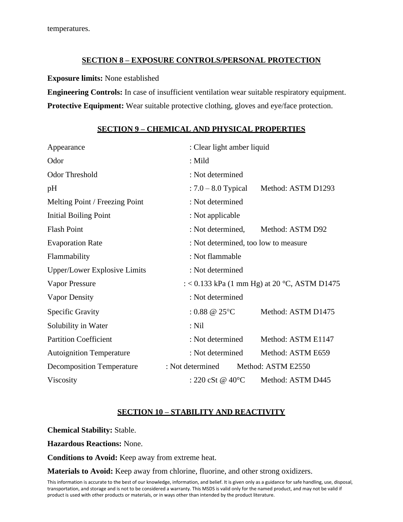# **SECTION 8 – EXPOSURE CONTROLS/PERSONAL PROTECTION**

#### **Exposure limits:** None established

**Engineering Controls:** In case of insufficient ventilation wear suitable respiratory equipment. **Protective Equipment:** Wear suitable protective clothing, gloves and eye/face protection.

## **SECTION 9 – CHEMICAL AND PHYSICAL PROPERTIES**

| Appearance                          |                                      | : Clear light amber liquid                   |  |  |
|-------------------------------------|--------------------------------------|----------------------------------------------|--|--|
| Odor                                | $:$ Mild                             |                                              |  |  |
| <b>Odor Threshold</b>               | : Not determined                     |                                              |  |  |
| pH                                  | $: 7.0 - 8.0$ Typical                | Method: ASTM D1293                           |  |  |
| Melting Point / Freezing Point      | : Not determined                     |                                              |  |  |
| <b>Initial Boiling Point</b>        | : Not applicable                     |                                              |  |  |
| <b>Flash Point</b>                  | : Not determined,                    | Method: ASTM D92                             |  |  |
| <b>Evaporation Rate</b>             | : Not determined, too low to measure |                                              |  |  |
| Flammability                        | : Not flammable                      |                                              |  |  |
| <b>Upper/Lower Explosive Limits</b> | : Not determined                     |                                              |  |  |
| <b>Vapor Pressure</b>               |                                      | : < 0.133 kPa (1 mm Hg) at 20 °C, ASTM D1475 |  |  |
| <b>Vapor Density</b>                | : Not determined                     |                                              |  |  |
| <b>Specific Gravity</b>             | : $0.88 \ @ \ 25^{\circ}\text{C}$    | Method: ASTM D1475                           |  |  |
| Solubility in Water                 | $:$ Nil                              |                                              |  |  |
| <b>Partition Coefficient</b>        | : Not determined                     | Method: ASTM E1147                           |  |  |
| <b>Autoignition Temperature</b>     | : Not determined                     | Method: ASTM E659                            |  |  |
| <b>Decomposition Temperature</b>    | : Not determined                     | Method: ASTM E2550                           |  |  |
| Viscosity                           | : 220 cSt @ 40 $^{\circ}$ C          | Method: ASTM D445                            |  |  |

# **SECTION 10 – STABILITY AND REACTIVITY**

**Chemical Stability:** Stable.

**Hazardous Reactions:** None.

**Conditions to Avoid:** Keep away from extreme heat.

**Materials to Avoid:** Keep away from chlorine, fluorine, and other strong oxidizers.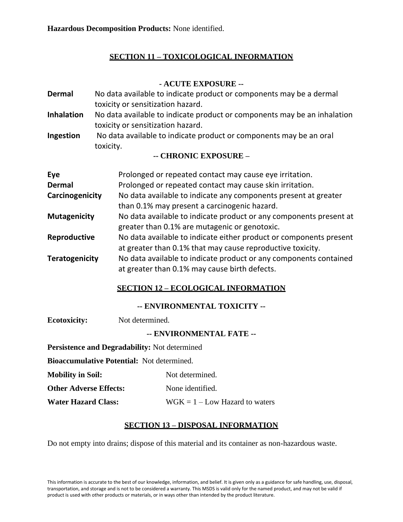# **SECTION 11 – TOXICOLOGICAL INFORMATION**

# **- ACUTE EXPOSURE --**

**Dermal** No data available to indicate product or components may be a dermal toxicity or sensitization hazard. **Inhalation** No data available to indicate product or components may be an inhalation toxicity or sensitization hazard. **Ingestion** No data available to indicate product or components may be an oral toxicity.

## **-- CHRONIC EXPOSURE –**

| Eye                   | Prolonged or repeated contact may cause eye irritation.            |
|-----------------------|--------------------------------------------------------------------|
| <b>Dermal</b>         | Prolonged or repeated contact may cause skin irritation.           |
| Carcinogenicity       | No data available to indicate any components present at greater    |
|                       | than 0.1% may present a carcinogenic hazard.                       |
| <b>Mutagenicity</b>   | No data available to indicate product or any components present at |
|                       | greater than 0.1% are mutagenic or genotoxic.                      |
| Reproductive          | No data available to indicate either product or components present |
|                       | at greater than 0.1% that may cause reproductive toxicity.         |
| <b>Teratogenicity</b> | No data available to indicate product or any components contained  |
|                       | at greater than 0.1% may cause birth defects.                      |

# **SECTION 12 – ECOLOGICAL INFORMATION**

**-- ENVIRONMENTAL TOXICITY --**

**Ecotoxicity:** Not determined.

# **-- ENVIRONMENTAL FATE --**

**Persistence and Degradability:** Not determined

**Bioaccumulative Potential:** Not determined.

**Mobility in Soil:** Not determined.

**Other Adverse Effects:** None identified.

**Water Hazard Class:** WGK = 1 – Low Hazard to waters

# **SECTION 13 – DISPOSAL INFORMATION**

Do not empty into drains; dispose of this material and its container as non-hazardous waste.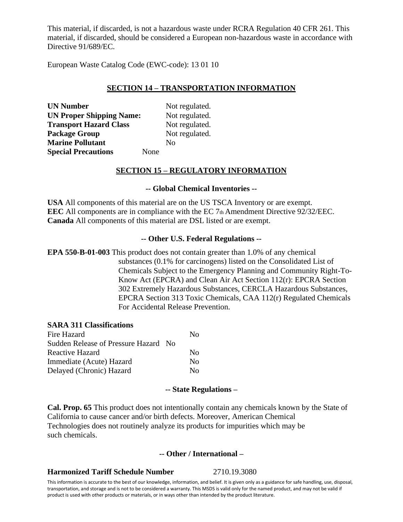This material, if discarded, is not a hazardous waste under RCRA Regulation 40 CFR 261. This material, if discarded, should be considered a European non-hazardous waste in accordance with Directive 91/689/EC.

European Waste Catalog Code (EWC-code): 13 01 10

# **SECTION 14 – TRANSPORTATION INFORMATION**

**UN Number** Not regulated. **UN Proper Shipping Name:** Not regulated. **Transport Hazard Class** Not regulated. **Package Group**  Not regulated. **Marine Pollutant** No **Special Precautions** None

## **SECTION 15 – REGULATORY INFORMATION**

### **-- Global Chemical Inventories --**

**USA** All components of this material are on the US TSCA Inventory or are exempt. **EEC** All components are in compliance with the EC 7th Amendment Directive 92/32/EEC. **Canada** All components of this material are DSL listed or are exempt.

#### **-- Other U.S. Federal Regulations --**

**EPA 550-B-01-003** This product does not contain greater than 1.0% of any chemical substances (0.1% for carcinogens) listed on the Consolidated List of Chemicals Subject to the Emergency Planning and Community Right-To-Know Act (EPCRA) and Clean Air Act Section 112(r): EPCRA Section 302 Extremely Hazardous Substances, CERCLA Hazardous Substances, EPCRA Section 313 Toxic Chemicals, CAA 112(r) Regulated Chemicals For Accidental Release Prevention.

#### **SARA 311 Classifications**

| Fire Hazard                          | Nο       |
|--------------------------------------|----------|
| Sudden Release of Pressure Hazard No |          |
| Reactive Hazard                      | Nο       |
| Immediate (Acute) Hazard             | $\rm No$ |
| Delayed (Chronic) Hazard             | Nο       |

#### **-- State Regulations –**

**Cal. Prop. 65** This product does not intentionally contain any chemicals known by the State of California to cause cancer and/or birth defects. Moreover, American Chemical Technologies does not routinely analyze its products for impurities which may be such chemicals.

## **-- Other / International –**

#### **Harmonized Tariff Schedule Number** 2710.19.3080